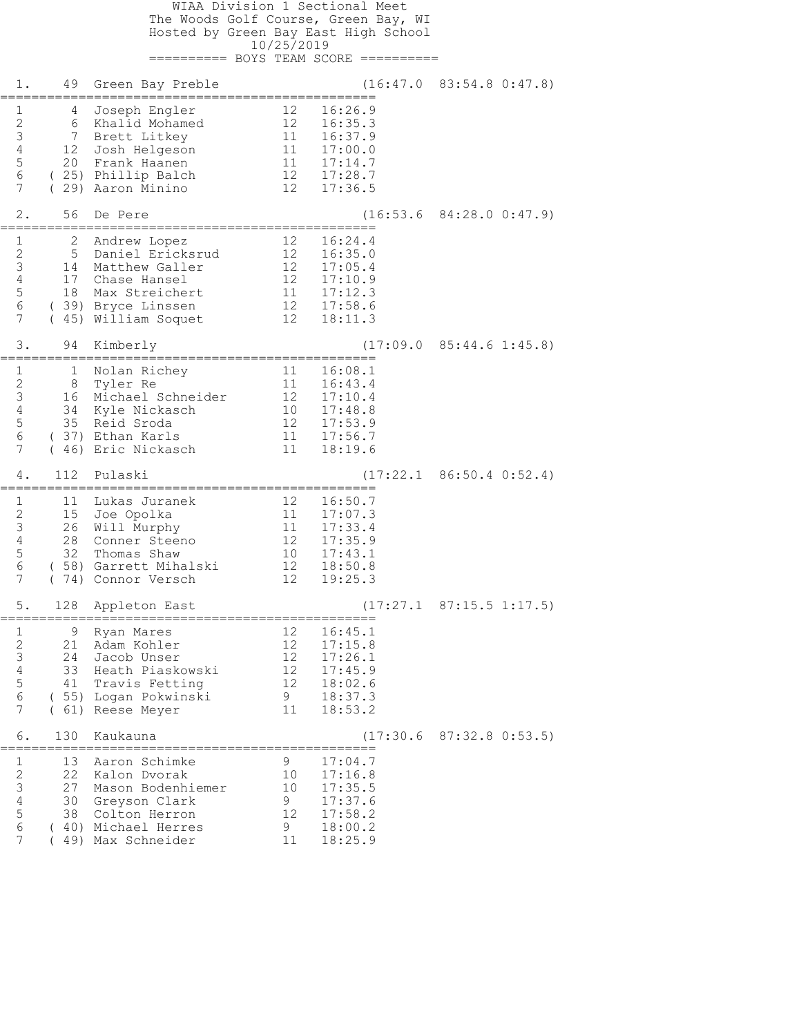| WIAA Division 1 Sectional Meet<br>The Woods Golf Course, Green Bay, WI |                         |                                           |                                               |                       |                                  |  |  |
|------------------------------------------------------------------------|-------------------------|-------------------------------------------|-----------------------------------------------|-----------------------|----------------------------------|--|--|
| Hosted by Green Bay East High School<br>10/25/2019                     |                         |                                           |                                               |                       |                                  |  |  |
|                                                                        |                         |                                           |                                               |                       |                                  |  |  |
| 1.                                                                     | 49                      | Green Bay Preble                          |                                               |                       | $(16:47.0 \t 83:54.8 \t 0:47.8)$ |  |  |
| $\mathbf{1}$<br>$\sqrt{2}$                                             | 4<br>6                  | Joseph Engler<br>Khalid Mohamed           | 12<br>12                                      | 16:26.9<br>16:35.3    |                                  |  |  |
| $\mathfrak{Z}$<br>$\sqrt{4}$                                           | 7<br>12                 | Brett Litkey<br>Josh Helgeson             | 11<br>11                                      | 16:37.9<br>17:00.0    |                                  |  |  |
| $\mathsf S$                                                            | 20                      | Frank Haanen                              | $\frac{1}{1}$                                 | 17:14.7               |                                  |  |  |
| 6<br>7                                                                 | $\left($                | (25) Phillip Balch<br>29) Aaron Minino    | 12                                            | 12 17:28.7<br>17:36.5 |                                  |  |  |
| 2.                                                                     | 56<br>================= | De Pere<br>.----------------------        |                                               |                       | $(16:53.6 \t84:28.0 \t0:47.9)$   |  |  |
| $\mathbf{1}$<br>$\sqrt{2}$                                             | 2<br>5                  | Andrew Lopez<br>Daniel Ericksrud          | 12 <sup>°</sup><br>12                         | 16:24.4<br>16:35.0    |                                  |  |  |
| $\mathsf 3$                                                            | 14                      | Matthew Galler                            | 12                                            | 17:05.4               |                                  |  |  |
| $\overline{4}$<br>5                                                    | 17<br>18                | Chase Hansel<br>Max Streichert            | 12<br>$\begin{array}{c} 11 \\ 12 \end{array}$ | 17:10.9<br>17:12.3    |                                  |  |  |
| $\epsilon$<br>7                                                        |                         | (39) Bryce Linssen<br>(45) William Soquet | 12                                            | 17:58.6<br>18:11.3    |                                  |  |  |
| 3.                                                                     | 94                      | Kimberly                                  |                                               |                       | $(17:09.0 \t 85:44.6 \t 1:45.8)$ |  |  |
| 1                                                                      | 1                       | Nolan Richey                              | 11                                            | 16:08.1               |                                  |  |  |
| $\sqrt{2}$<br>$\mathsf 3$                                              | 8<br>16                 | Tyler Re<br>Michael Schneider             | 11<br>$12 \overline{ }$                       | 16:43.4<br>17:10.4    |                                  |  |  |
| 4<br>$\mathsf S$                                                       | 34<br>35                | Kyle Nickasch<br>Reid Sroda               | 10<br>12 <sup>°</sup>                         | 17:48.8<br>17:53.9    |                                  |  |  |
| 6<br>7                                                                 | 46)                     | (37) Ethan Karls<br>Eric Nickasch         | 11<br>11                                      | 17:56.7<br>18:19.6    |                                  |  |  |
| 4.                                                                     | 112                     | Pulaski                                   |                                               | (17:22.1              | $86:50.4$ $0:52.4$               |  |  |
| $\mathbf{1}$                                                           | 11                      | Lukas Juranek                             | 12                                            | 16:50.7               |                                  |  |  |
| $\sqrt{2}$<br>$\mathsf 3$                                              | 15<br>26                | Joe Opolka<br>Will Murphy                 | 11<br>11                                      | 17:07.3<br>17:33.4    |                                  |  |  |
| $\overline{4}$<br>5                                                    | 28<br>32                | Conner Steeno<br>Thomas Shaw              | 12<br>10 <sup>°</sup>                         | 17:35.9<br>17:43.1    |                                  |  |  |
| 6<br>7                                                                 | 58)<br>74)              | Garrett Mihalski<br>Connor Versch         | 12<br>12                                      | 18:50.8<br>19:25.3    |                                  |  |  |
| 5.                                                                     | 128                     | Appleton East                             |                                               |                       | $(17:27.1 \t 87:15.5 \t 1:17.5)$ |  |  |
| 1                                                                      | 9                       | Ryan Mares                                | 12                                            | 16:45.1               |                                  |  |  |
| $\mathbf{2}$<br>$\mathfrak{Z}$                                         | 21<br>24                | Adam Kohler<br>Jacob Unser                | 12<br>12                                      | 17:15.8<br>17:26.1    |                                  |  |  |
| 4                                                                      | 33                      | Heath Piaskowski                          | 12                                            | 17:45.9               |                                  |  |  |
| 5<br>6                                                                 | 41                      | Travis Fetting<br>(55) Logan Pokwinski    | 12<br>9                                       | 18:02.6<br>18:37.3    |                                  |  |  |
| 7                                                                      | (61)                    | Reese Meyer                               | 11                                            | 18:53.2               |                                  |  |  |
| 6.                                                                     | 130                     | Kaukauna                                  |                                               |                       | $(17:30.6 \t 87:32.8 \t 0:53.5)$ |  |  |
| $\mathbf{1}$<br>$\sqrt{2}$                                             | 13<br>22                | Aaron Schimke<br>Kalon Dvorak             | 9<br>10                                       | 17:04.7<br>17:16.8    |                                  |  |  |
| 3<br>$\sqrt{4}$                                                        | 27<br>30                | Mason Bodenhiemer<br>Greyson Clark        | 10<br>9                                       | 17:35.5<br>17:37.6    |                                  |  |  |
| 5<br>6                                                                 | 38                      | Colton Herron<br>Michael Herres           | 12                                            | 17:58.2               |                                  |  |  |
| $\overline{7}$                                                         | 40)<br>49)              | Max Schneider                             | 9<br>11                                       | 18:00.2<br>18:25.9    |                                  |  |  |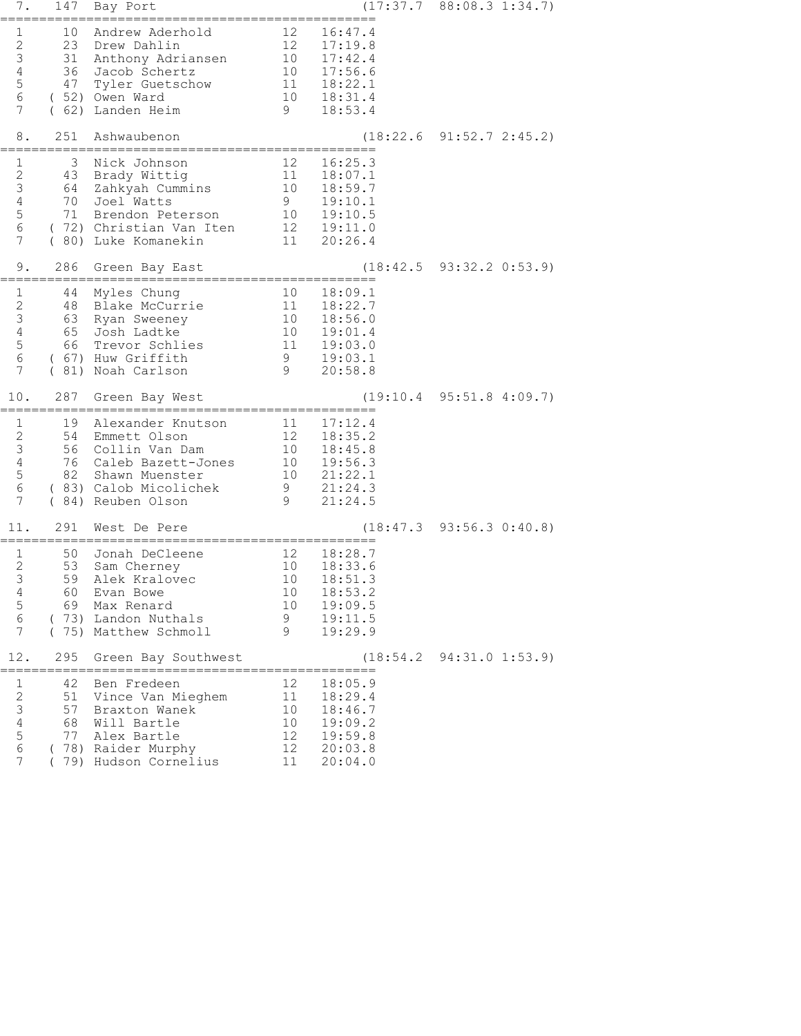| 7.                                                                                                 | 147                         | Bay Port                                                                                                                                            |                                                                  |                                                                                                                                                                 | $(17:37.7 \t 88:08.3 \t 1:34.7)$       |
|----------------------------------------------------------------------------------------------------|-----------------------------|-----------------------------------------------------------------------------------------------------------------------------------------------------|------------------------------------------------------------------|-----------------------------------------------------------------------------------------------------------------------------------------------------------------|----------------------------------------|
| 1<br>$\mathbf{2}$<br>$\mathfrak{Z}$<br>$\overline{4}$<br>5<br>$\sqrt{6}$<br>7                      | 31<br>47                    | 10 Andrew Aderhold<br>23 Drew Dahlin<br>Anthony Adriansen<br>36 Jacob Schertz<br>Tyler Guetschow<br>(52) Owen Ward<br>(62) Landen Heim              |                                                                  | 12 16:47.4<br>$\begin{array}{cccc} 12 & 10.77.1 \\ 12 & 17.19.8 \\ 10 & 17.42.4 \\ 10 & 17.56.6 \\ 11 & 18.22.1 \\ 10 & 18.31.4 \\ 9 & 18.53.4 \end{array}$     |                                        |
| 8.                                                                                                 | 251                         | Ashwaubenon<br>=================================                                                                                                    |                                                                  |                                                                                                                                                                 | $(18:22.6 \t 91:52.7 \t 2:45.2)$       |
| $\mathbf 1$<br>$\mathbf{2}$<br>$\mathsf 3$<br>$\overline{4}$<br>$\mathsf S$<br>6<br>7              | 3<br>43                     | Nick Johnson<br>Brady Wittig<br>64 Zahkyah Cummins<br>70 Joel Watts<br>71 Brendon Peterson<br>(72) Christian Van Iten<br>(80) Luke Komanekin        | 12                                                               | 16:25.3<br>$\begin{array}{cccc} 12 & 16:25.3 \ 11 & 18:07.1 \ 10 & 18:59.7 \ 9 & 19:10.1 \ 10 & 19:10.5 \end{array}$<br>$\overline{12}$ $19:11.0$<br>11 20:26.4 |                                        |
| 9.                                                                                                 | 286                         | Green Bay East                                                                                                                                      |                                                                  | (18:42.5                                                                                                                                                        | $93:32.2$ $0:53.9$                     |
| $\mathbf{1}$<br>$\mathbf{2}$<br>$\mathfrak{Z}$<br>$\overline{4}$<br>$\mathsf S$<br>$\epsilon$<br>7 | 44<br>48<br>63              | Myles Chung<br>Blake McCurrie<br>Ryan Sweeney<br>65 Josh Ladtke<br>66 Trevor Schlies<br>(67) Huw Griffith<br>( 81) Noah Carlson                     | $\begin{array}{c} 10 \\ 11 \\ 10 \\ 10 \end{array}$<br>9<br>- 9  | 18:09.1<br>18:22.7<br>18:56.0<br>19:01.4<br>11  19:03.0<br>19:03.1<br>20:58.8                                                                                   |                                        |
| 10.                                                                                                | 287                         | Green Bay West                                                                                                                                      |                                                                  |                                                                                                                                                                 | $(19:10.4 \quad 95:51.8 \quad 4:09.7)$ |
| $\mathbf{1}$<br>2<br>$\mathsf 3$<br>$\overline{4}$<br>$\overline{5}$<br>$\epsilon$<br>7            | 19<br>82                    | Alexander Knutson<br>54 Emmett Olson<br>56 Collin Van Dam<br>76 Caleb Bazett-Jones<br>Shawn Muenster<br>( 83) Calob Micolichek<br>(84) Reuben Olson | $\begin{array}{c} 10 \\ 9 \end{array}$<br>- 9                    | 11  17:12.4<br>12  18:35.2<br>10  18:45.8<br>10 19:56.3<br>21:22.1<br>21:24.3<br>21:24.5                                                                        |                                        |
| 11.                                                                                                | 291                         | West De Pere                                                                                                                                        |                                                                  |                                                                                                                                                                 | (18:47.3 93:56.3 0:40.8)               |
| $\mathbf{1}$<br>$\mathbf{2}$<br>3<br>4<br>5<br>6<br>7                                              | 50<br>53<br>59<br>60<br>69. | Jonah DeCleene<br>Sam Cherney<br>Alek Kralovec<br>Evan Bowe<br>Max Renard<br>(73) Landon Nuthals<br>(75) Matthew Schmoll                            | 10<br>10<br>10<br>9<br>9                                         | $12$ $18:28.7$<br>10 $18:33.6$<br>18:33.6<br>18:51.3<br>18:53.2<br>19:09.5<br>19:11.5<br>19:29.9                                                                |                                        |
| 12.                                                                                                | 295                         | Green Bay Southwest                                                                                                                                 |                                                                  |                                                                                                                                                                 | $(18:54.2 \quad 94:31.0 \quad 1:53.9)$ |
| 1<br>$\mathbf{2}$<br>$\mathfrak{Z}$<br>$\sqrt{4}$<br>5<br>$\epsilon$<br>7                          | 42<br>51<br>57<br>68<br>77  | Ben Fredeen<br>Vince Van Mieghem<br>Braxton Wanek<br>Will Bartle<br>Alex Bartle<br>(78) Raider Murphy<br>(79) Hudson Cornelius                      | 12<br>11<br>10 <sup>°</sup><br>10<br>12<br>12 <sup>°</sup><br>11 | 18:05.9<br>18:29.4<br>18:46.7<br>19:09.2<br>19:59.8<br>20:03.8<br>20:04.0                                                                                       |                                        |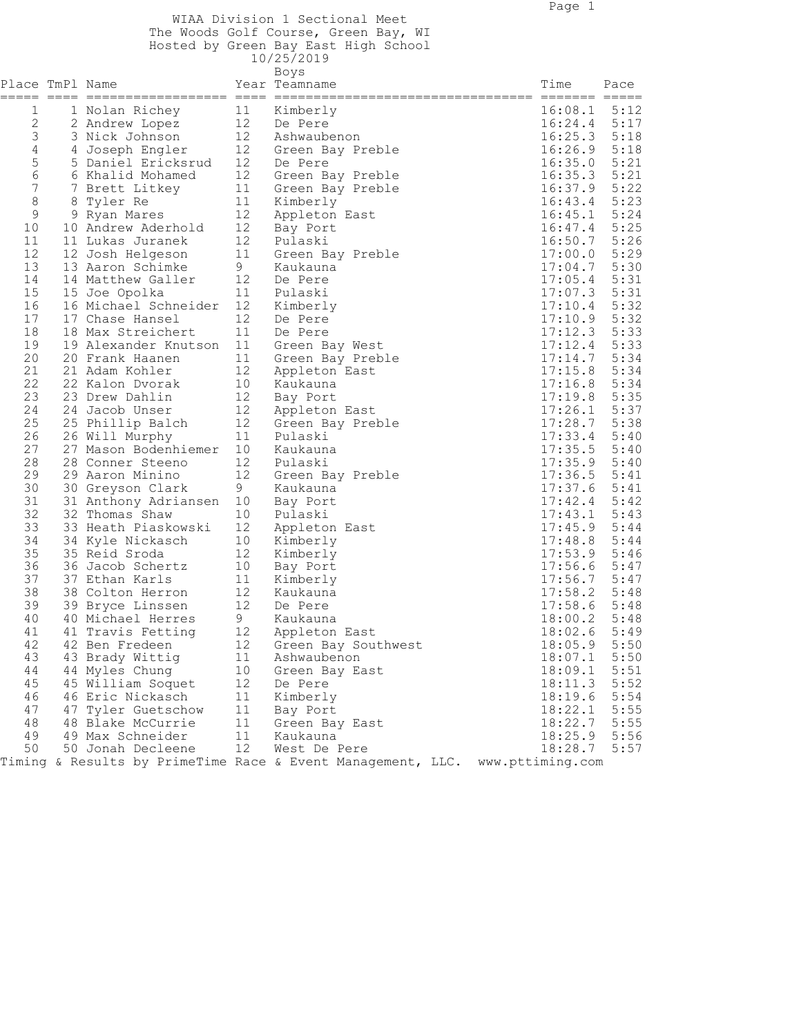WIAA Division 1 Sectional Meet The Woods Golf Course, Green Bay, WI

| Hosted by Green Bay East High School |  |  |  |
|--------------------------------------|--|--|--|

|                  |                         |                 | 10/25/2019                                                  |                  |      |
|------------------|-------------------------|-----------------|-------------------------------------------------------------|------------------|------|
| Place TmPl Name  |                         |                 | Boys<br>Year Teamname                                       | Time             | Pace |
| 1                | 1 Nolan Richey          | 11              | Kimberly                                                    | 16:08.1          | 5:12 |
| $\mathbf{2}$     | 2 Andrew Lopez          | 12              | De Pere                                                     | $16:24.4$ 5:17   |      |
| $\mathfrak{Z}$   | 3 Nick Johnson          | 12              | Ashwaubenon                                                 | 16:25.3          | 5:18 |
| $\overline{4}$   | 4 Joseph Engler         | 12              | Green Bay Preble                                            | 16:26.9          | 5:18 |
| 5                | 5 Daniel Ericksrud      | 12              | De Pere                                                     | 16:35.0          | 5:21 |
| 6                | 6 Khalid Mohamed        | 12              | Green Bay Preble                                            | 16:35.3          | 5:21 |
| $\boldsymbol{7}$ | 7 Brett Litkey          | 11              | Green Bay Preble                                            | 16:37.9          | 5:22 |
| 8                | 8 Tyler Re              | 11              | Kimberly                                                    | 16:43.4          | 5:23 |
| $\mathsf 9$      | 9 Ryan Mares            | 12              | Appleton East                                               | 16:45.1          | 5:24 |
| 10               | 10 Andrew Aderhold      | 12              | Bay Port                                                    | 16:47.4          | 5:25 |
| 11               | 11 Lukas Juranek        | 12              | Pulaski                                                     | 16:50.7          | 5:26 |
| 12               | 12 Josh Helgeson        | 11              | Green Bay Preble                                            | 17:00.0          | 5:29 |
| 13               | 13 Aaron Schimke        | 9               | Kaukauna                                                    | 17:04.7          | 5:30 |
| 14               | 14 Matthew Galler       | 12              | De Pere                                                     | 17:05.4          | 5:31 |
| 15               | 15 Joe Opolka           | 11              | Pulaski                                                     | 17:07.3          | 5:31 |
| 16               | 16 Michael Schneider    | 12              | Kimberly                                                    | 17:10.4          | 5:32 |
| 17               | 17 Chase Hansel         | 12              | De Pere                                                     | 17:10.9          | 5:32 |
| 18               | 18 Max Streichert       | 11              | De Pere                                                     | 17:12.3          | 5:33 |
| 19               | 19 Alexander Knutson 11 |                 | Green Bay West                                              | 17:12.4          | 5:33 |
| 20               | 20 Frank Haanen         | 11              | Green Bay Preble                                            | 17:14.7          | 5:34 |
| 21               | 21 Adam Kohler          | 12              | Appleton East                                               | 17:15.8          | 5:34 |
| 22               | 22 Kalon Dvorak         | 10              | Kaukauna                                                    | 17:16.8          | 5:34 |
| 23               | 23 Drew Dahlin          | 12              | Bay Port                                                    | 17:19.8          | 5:35 |
| 24               | 24 Jacob Unser          | 12              | Appleton East                                               | 17:26.1          | 5:37 |
| 25               | 25 Phillip Balch        | 12              | Green Bay Preble                                            | 17:28.7          | 5:38 |
| 26               | 26 Will Murphy          | 11              | Pulaski                                                     | 17:33.4          | 5:40 |
| 27               | 27 Mason Bodenhiemer    | 10              | Kaukauna                                                    | 17:35.5          | 5:40 |
| 28               | 28 Conner Steeno        | 12              | Pulaski                                                     | 17:35.9          | 5:40 |
| 29               | 29 Aaron Minino         | 12              | Green Bay Preble                                            | 17:36.5          | 5:41 |
| 30               | 30 Greyson Clark        | 9               | Kaukauna                                                    | 17:37.6          | 5:41 |
| 31               | 31 Anthony Adriansen 10 |                 | Bay Port                                                    | 17:42.4          | 5:42 |
| 32               | 32 Thomas Shaw          | 10              | Pulaski                                                     | 17:43.1          | 5:43 |
| 33               | 33 Heath Piaskowski     | 12              | Appleton East                                               | 17:45.9          | 5:44 |
| 34               | 34 Kyle Nickasch        | 10              | Kimberly                                                    | 17:48.8          | 5:44 |
| 35               | 35 Reid Sroda           | 12              | Kimberly                                                    | 17:53.9          | 5:46 |
| 36               | 36 Jacob Schertz        | 10              | Bay Port                                                    | 17:56.6          | 5:47 |
| 37               | 37 Ethan Karls          | 11              | Kimberly                                                    | 17:56.7          | 5:47 |
| 38               | 38 Colton Herron        | 12              | Kaukauna                                                    | 17:58.2          | 5:48 |
| 39               | 39 Bryce Linssen        | 12 <sup>°</sup> | De Pere                                                     | 17:58.6          | 5:48 |
| 40               | 40 Michael Herres       | 9               | Kaukauna                                                    | 18:00.2          | 5:48 |
| 41               | 41 Travis Fetting       | 12              | Appleton East                                               | 18:02.6          | 5:49 |
| 42               | 42 Ben Fredeen          | 12              | Green Bay Southwest                                         | 18:05.9          | 5:50 |
| 43               | 43 Brady Wittig         | 11              | Ashwaubenon                                                 | 18:07.1          | 5:50 |
| 44               | 44 Myles Chung          | 10              | Green Bay East                                              | 18:09.1          | 5:51 |
| 45               | 45 William Soquet       | 12              | De Pere                                                     | 18:11.3          | 5:52 |
| 46               | 46 Eric Nickasch        | 11              | Kimberly                                                    | 18:19.6          | 5:54 |
| 47               | 47 Tyler Guetschow      | 11              | Bay Port                                                    | 18:22.1          | 5:55 |
| 48               | 48 Blake McCurrie       | 11              | Green Bay East                                              | 18:22.7          | 5:55 |
| 49               | 49 Max Schneider        | 11              | Kaukauna                                                    | 18:25.9          | 5:56 |
| 50               | 50 Jonah Decleene       | 12 <sup>°</sup> | West De Pere                                                | 18:28.7          | 5:57 |
|                  |                         |                 | Timing & Results by PrimeTime Race & Event Management, LLC. | www.pttiming.com |      |